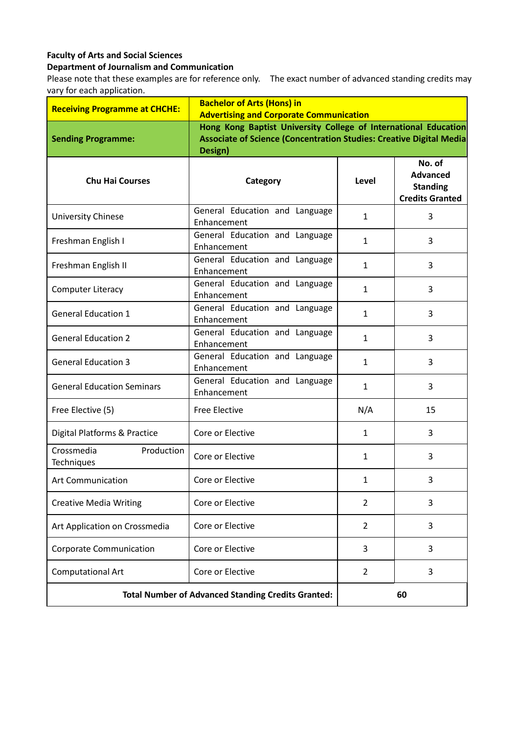## **Faculty of Arts and Social Sciences**

## **Department of Journalism and Communication**

Please note that these examples are for reference only. The exact number of advanced standing credits may vary for each application.

| <b>Receiving Programme at CHCHE:</b>                      | <b>Bachelor of Arts (Hons) in</b><br><b>Advertising and Corporate Communication</b>                                                                      |                |                                                                        |  |
|-----------------------------------------------------------|----------------------------------------------------------------------------------------------------------------------------------------------------------|----------------|------------------------------------------------------------------------|--|
| <b>Sending Programme:</b>                                 | Hong Kong Baptist University College of International Education<br><b>Associate of Science (Concentration Studies: Creative Digital Media</b><br>Design) |                |                                                                        |  |
| <b>Chu Hai Courses</b>                                    | Category                                                                                                                                                 | Level          | No. of<br><b>Advanced</b><br><b>Standing</b><br><b>Credits Granted</b> |  |
| University Chinese                                        | General Education and Language<br>Enhancement                                                                                                            | $\mathbf{1}$   | 3                                                                      |  |
| Freshman English I                                        | General Education and Language<br>Enhancement                                                                                                            | $\mathbf{1}$   | 3                                                                      |  |
| Freshman English II                                       | General Education and Language<br>Enhancement                                                                                                            | $\mathbf{1}$   | 3                                                                      |  |
| <b>Computer Literacy</b>                                  | General Education and Language<br>Enhancement                                                                                                            | $\mathbf{1}$   | 3                                                                      |  |
| <b>General Education 1</b>                                | General Education and Language<br>Enhancement                                                                                                            | 1              | 3                                                                      |  |
| <b>General Education 2</b>                                | General Education and Language<br>Enhancement                                                                                                            | $\mathbf{1}$   | 3                                                                      |  |
| <b>General Education 3</b>                                | General Education and Language<br>Enhancement                                                                                                            | $\mathbf{1}$   | 3                                                                      |  |
| <b>General Education Seminars</b>                         | General Education and Language<br>Enhancement                                                                                                            | $\mathbf{1}$   | 3                                                                      |  |
| Free Elective (5)                                         | <b>Free Elective</b>                                                                                                                                     | N/A            | 15                                                                     |  |
| Digital Platforms & Practice                              | Core or Elective                                                                                                                                         | 1              | 3                                                                      |  |
| Crossmedia<br>Production<br>Techniques                    | Core or Elective                                                                                                                                         | $\mathbf{1}$   | 3                                                                      |  |
| <b>Art Communication</b>                                  | Core or Elective                                                                                                                                         | $\mathbf{1}$   | 3                                                                      |  |
| <b>Creative Media Writing</b>                             | Core or Elective                                                                                                                                         | $\overline{2}$ | 3                                                                      |  |
| Art Application on Crossmedia                             | Core or Elective                                                                                                                                         | $\overline{2}$ | 3                                                                      |  |
| Corporate Communication                                   | Core or Elective                                                                                                                                         | 3              | 3                                                                      |  |
| <b>Computational Art</b>                                  | Core or Elective                                                                                                                                         | $\overline{2}$ | 3                                                                      |  |
| <b>Total Number of Advanced Standing Credits Granted:</b> |                                                                                                                                                          | 60             |                                                                        |  |